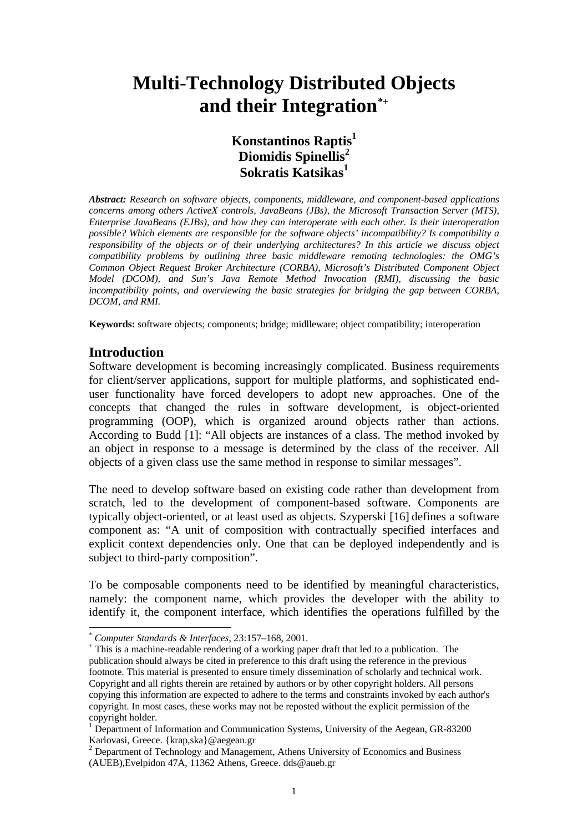# **Multi-Technology Distributed Objects and their Integration***\*+*

# **Konstantinos Raptis<sup>1</sup> Diomidis Spinellis<sup>2</sup> Sokratis Katsikas<sup>1</sup>**

*Abstract: Research on software objects, components, middleware, and component-based applications concerns among others ActiveX controls, JavaBeans (JBs), the Microsoft Transaction Server (MTS), Enterprise JavaBeans (EJBs), and how they can interoperate with each other. Is their interoperation possible? Which elements are responsible for the software objects' incompatibility? Is compatibility a responsibility of the objects or of their underlying architectures? In this article we discuss object compatibility problems by outlining three basic middleware remoting technologies: the OMG's Common Object Request Broker Architecture (CORBA), Microsoft's Distributed Component Object Model (DCOM), and Sun's Java Remote Method Invocation (RMI), discussing the basic incompatibility points, and overviewing the basic strategies for bridging the gap between CORBA, DCOM, and RMI.*

**Keywords:** software objects; components; bridge; midlleware; object compatibility; interoperation

## **Introduction**

 $\overline{a}$ 

Software development is becoming increasingly complicated. Business requirements for client/server applications, support for multiple platforms, and sophisticated enduser functionality have forced developers to adopt new approaches. One of the concepts that changed the rules in software development, is object-oriented programming (OOP), which is organized around objects rather than actions. According to Budd [1]: "All objects are instances of a class. The method invoked by an object in response to a message is determined by the class of the receiver. All objects of a given class use the same method in response to similar messages".

The need to develop software based on existing code rather than development from scratch, led to the development of component-based software. Components are typically object-oriented, or at least used as objects. Szyperski [16] defines a software component as: "A unit of composition with contractually specified interfaces and explicit context dependencies only. One that can be deployed independently and is subject to third-party composition".

To be composable components need to be identified by meaningful characteristics, namely: the component name, which provides the developer with the ability to identify it, the component interface, which identifies the operations fulfilled by the

<sup>\*</sup> *Computer Standards & Interfaces*, 23:157–168, 2001.

<sup>+</sup> This is a machine-readable rendering of a working paper draft that led to a publication. The publication should always be cited in preference to this draft using the reference in the previous footnote. This material is presented to ensure timely dissemination of scholarly and technical work. Copyright and all rights therein are retained by authors or by other copyright holders. All persons copying this information are expected to adhere to the terms and constraints invoked by each author's copyright. In most cases, these works may not be reposted without the explicit permission of the copyright holder.

<sup>&</sup>lt;sup>1</sup> Department of Information and Communication Systems, University of the Aegean, GR-83200 Karlovasi, Greece. {krap,ska}@aegean.gr

 $<sup>2</sup>$  Department of Technology and Management, Athens University of Economics and Business</sup> (AUEB),Evelpidon 47A, 11362 Athens, Greece. dds@aueb.gr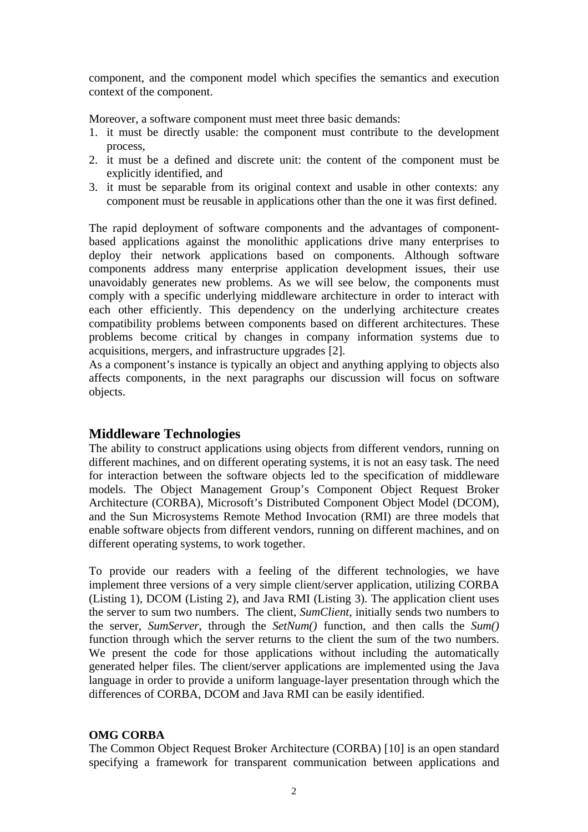component, and the component model which specifies the semantics and execution context of the component.

Moreover, a software component must meet three basic demands:

- 1. it must be directly usable: the component must contribute to the development process,
- 2. it must be a defined and discrete unit: the content of the component must be explicitly identified, and
- 3. it must be separable from its original context and usable in other contexts: any component must be reusable in applications other than the one it was first defined.

The rapid deployment of software components and the advantages of componentbased applications against the monolithic applications drive many enterprises to deploy their network applications based on components. Although software components address many enterprise application development issues, their use unavoidably generates new problems. As we will see below, the components must comply with a specific underlying middleware architecture in order to interact with each other efficiently. This dependency on the underlying architecture creates compatibility problems between components based on different architectures. These problems become critical by changes in company information systems due to acquisitions, mergers, and infrastructure upgrades [2].

As a component's instance is typically an object and anything applying to objects also affects components, in the next paragraphs our discussion will focus on software objects.

# **Middleware Technologies**

The ability to construct applications using objects from different vendors, running on different machines, and on different operating systems, it is not an easy task. The need for interaction between the software objects led to the specification of middleware models. The Object Management Group's Component Object Request Broker Architecture (CORBA), Microsoft's Distributed Component Object Model (DCOM), and the Sun Microsystems Remote Method Invocation (RMI) are three models that enable software objects from different vendors, running on different machines, and on different operating systems, to work together.

To provide our readers with a feeling of the different technologies, we have implement three versions of a very simple client/server application, utilizing CORBA (Listing 1), DCOM (Listing 2), and Java RMI (Listing 3). The application client uses the server to sum two numbers. The client, *SumClient*, initially sends two numbers to the server, *SumServer*, through the *SetNum()* function, and then calls the *Sum()* function through which the server returns to the client the sum of the two numbers. We present the code for those applications without including the automatically generated helper files. The client/server applications are implemented using the Java language in order to provide a uniform language-layer presentation through which the differences of CORBA, DCOM and Java RMI can be easily identified.

#### **OMG CORBA**

The Common Object Request Broker Architecture (CORBA) [10] is an open standard specifying a framework for transparent communication between applications and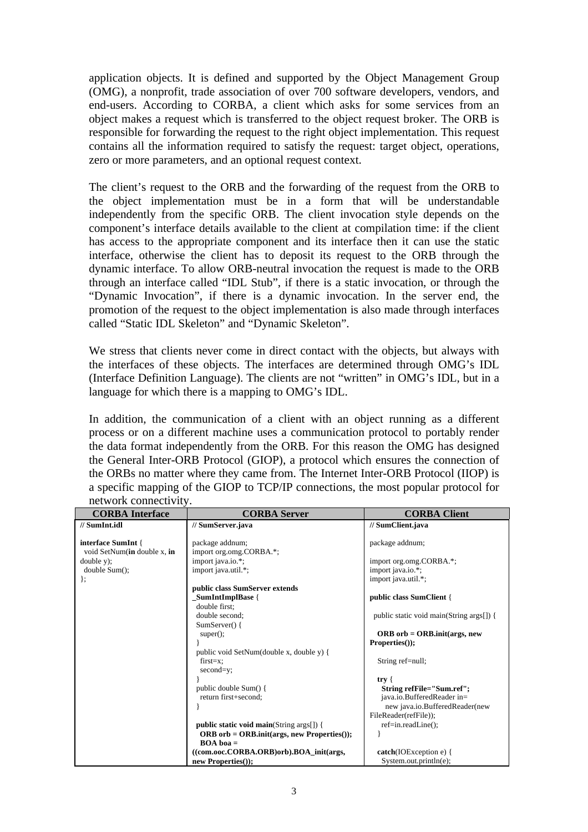application objects. It is defined and supported by the Object Management Group (OMG), a nonprofit, trade association of over 700 software developers, vendors, and end-users. According to CORBA, a client which asks for some services from an object makes a request which is transferred to the object request broker. The ORB is responsible for forwarding the request to the right object implementation. This request contains all the information required to satisfy the request: target object, operations, zero or more parameters, and an optional request context.

The client's request to the ORB and the forwarding of the request from the ORB to the object implementation must be in a form that will be understandable independently from the specific ORB. The client invocation style depends on the component's interface details available to the client at compilation time: if the client has access to the appropriate component and its interface then it can use the static interface, otherwise the client has to deposit its request to the ORB through the dynamic interface. To allow ORB-neutral invocation the request is made to the ORB through an interface called "IDL Stub", if there is a static invocation, or through the "Dynamic Invocation", if there is a dynamic invocation. In the server end, the promotion of the request to the object implementation is also made through interfaces called "Static IDL Skeleton" and "Dynamic Skeleton".

We stress that clients never come in direct contact with the objects, but always with the interfaces of these objects. The interfaces are determined through OMG's IDL (Interface Definition Language). The clients are not "written" in OMG's IDL, but in a language for which there is a mapping to OMG's IDL.

In addition, the communication of a client with an object running as a different process or on a different machine uses a communication protocol to portably render the data format independently from the ORB. For this reason the OMG has designed the General Inter-ORB Protocol (GIOP), a protocol which ensures the connection of the ORBs no matter where they came from. The Internet Inter-ORB Protocol (IIOP) is a specific mapping of the GIOP to TCP/IP connections, the most popular protocol for ivity.

| <b>CORBA Interface</b>      | <b>CORBA Server</b>                                    | <b>CORBA Client</b>                      |  |
|-----------------------------|--------------------------------------------------------|------------------------------------------|--|
| // SumInt.idl               | // SumServer.java                                      | // SumClient.java                        |  |
|                             |                                                        |                                          |  |
| interface SumInt {          | package addnum;                                        | package addnum;                          |  |
| void SetNum(in double x, in | import org.omg.CORBA.*;                                |                                          |  |
| $double y)$ :               | import java.io.*;                                      | import org.omg.CORBA.*;                  |  |
| double Sum();               | import java.util.*;                                    | import java.io.*;                        |  |
| $\}$ ;                      |                                                        | import java.util.*;                      |  |
|                             | public class SumServer extends                         |                                          |  |
|                             | _SumIntImplBase {                                      | public class SumClient {                 |  |
|                             | double first:                                          |                                          |  |
|                             | double second:                                         | public static void main(String args[]) { |  |
|                             | SumServer() {                                          |                                          |  |
|                             | super();                                               | <b>ORB</b> orb = ORB.init(args, new      |  |
|                             |                                                        | $Properties()$ ;                         |  |
|                             | public void SetNum(double x, double y) {               |                                          |  |
|                             | $first=x$ :                                            | String ref=null;                         |  |
|                             | $second=y;$                                            |                                          |  |
|                             |                                                        | $try \{$                                 |  |
|                             | public double Sum() {                                  | String refFile="Sum.ref";                |  |
|                             | return first+second:                                   | java.io.BufferedReader in=               |  |
|                             |                                                        | new java.io.BufferedReader(new           |  |
|                             |                                                        | FileReader(refFile));                    |  |
|                             | <b>public static void main</b> (String args[]) {       | $ref=in.readLine();$                     |  |
|                             | <b>ORB</b> orb = ORB.init(args, new Properties $()$ ); |                                          |  |
|                             | $BOA$ hoa =                                            |                                          |  |
|                             | ((com.ooc.CORBA.ORB)orb).BOA_init(args,                | $\textbf{catch}(\text{IOException e})$ { |  |
|                             | new Properties());                                     | System.out.println(e);                   |  |

| network connect |
|-----------------|
|-----------------|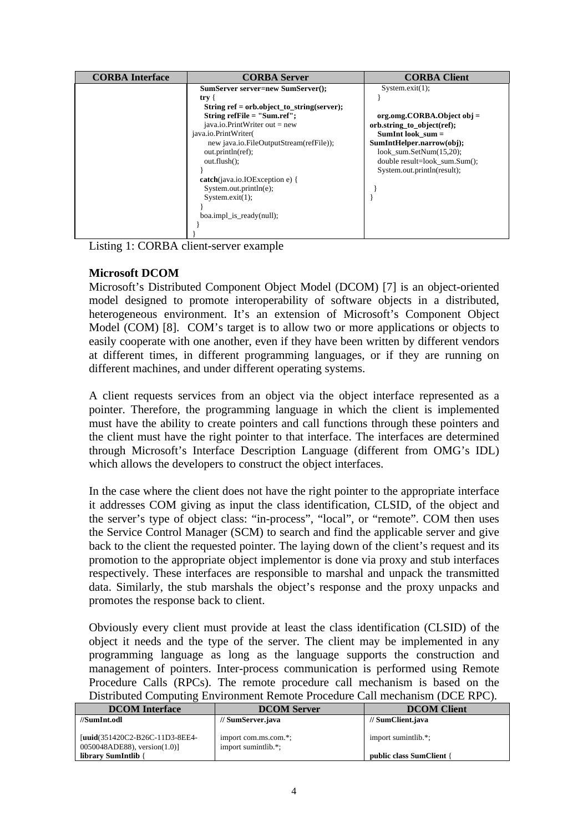| <b>CORBA</b> Interface | <b>CORBA Server</b>                          | <b>CORBA Client</b>                |
|------------------------|----------------------------------------------|------------------------------------|
|                        | SumServer server=new SumServer();            | System.exit(1);                    |
|                        | $try \$                                      |                                    |
|                        | String $ref = orb.object_to_string(server);$ |                                    |
|                        | String refFile $=$ "Sum.ref";                | $org. comp. CORBA. Object obj =$   |
|                        | java.io.PrintWriter out = new                | orb.string to object(ref);         |
|                        | java.io.PrintWriter(                         | SumInt look $sum =$                |
|                        | new java.io.FileOutputStream(refFile));      | SumIntHelper.narrow(obj);          |
|                        | out.println(ref);                            | look sum.SetNum $(15,20)$ ;        |
|                        | $out.float()$ :                              | $double result = look sum. Sum();$ |
|                        |                                              | System.out.println(result);        |
|                        | <b>catch</b> (java.io.IOException e) {       |                                    |
|                        | System.out.println(e);                       |                                    |
|                        | $System.exit(1)$ :                           |                                    |
|                        |                                              |                                    |
|                        | boa.impl is ready(null);                     |                                    |
|                        |                                              |                                    |
|                        |                                              |                                    |

Listing 1: CORBA client-server example

# **Microsoft DCOM**

Microsoft's Distributed Component Object Model (DCOM) [7] is an object-oriented model designed to promote interoperability of software objects in a distributed, heterogeneous environment. It's an extension of Microsoft's Component Object Model (COM) [8]. COM's target is to allow two or more applications or objects to easily cooperate with one another, even if they have been written by different vendors at different times, in different programming languages, or if they are running on different machines, and under different operating systems.

A client requests services from an object via the object interface represented as a pointer. Therefore, the programming language in which the client is implemented must have the ability to create pointers and call functions through these pointers and the client must have the right pointer to that interface. The interfaces are determined through Microsoft's Interface Description Language (different from OMG's IDL) which allows the developers to construct the object interfaces.

In the case where the client does not have the right pointer to the appropriate interface it addresses COM giving as input the class identification, CLSID, of the object and the server's type of object class: "in-process", "local", or "remote". COM then uses the Service Control Manager (SCM) to search and find the applicable server and give back to the client the requested pointer. The laying down of the client's request and its promotion to the appropriate object implementor is done via proxy and stub interfaces respectively. These interfaces are responsible to marshal and unpack the transmitted data. Similarly, the stub marshals the object's response and the proxy unpacks and promotes the response back to client.

Obviously every client must provide at least the class identification (CLSID) of the object it needs and the type of the server. The client may be implemented in any programming language as long as the language supports the construction and management of pointers. Inter-process communication is performed using Remote Procedure Calls (RPCs). The remote procedure call mechanism is based on the Distributed Computing Environment Remote Procedure Call mechanism (DCE RPC).

| <b>DCOM</b> Interface                                                      | <b>DCOM Server</b>                          | <b>DCOM Client</b>            |
|----------------------------------------------------------------------------|---------------------------------------------|-------------------------------|
| //SumInt.odl                                                               | // SumServer.java                           | // SumClient.java             |
| $[$ uuid $(351420C2-B26C-11D3-8EE4-$<br>$0050048ADE88$ , version $(1.0)$ ] | import com.ms.com.*;<br>import sumintlib.*; | import sumintlib.*;           |
| <b>library SumIntlib</b> {                                                 |                                             | <b>public class SumClient</b> |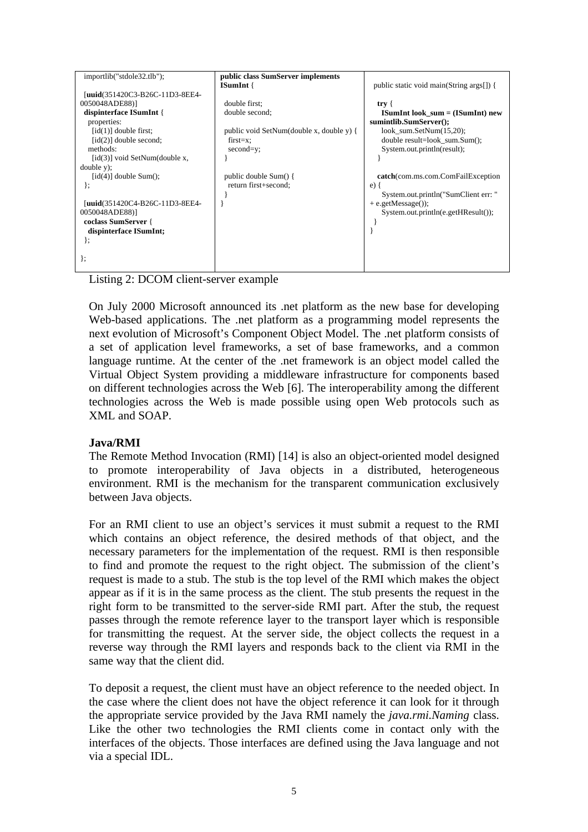

Listing 2: DCOM client-server example

On July 2000 Microsoft announced its .net platform as the new base for developing Web-based applications. The .net platform as a programming model represents the next evolution of Microsoft's Component Object Model. The .net platform consists of a set of application level frameworks, a set of base frameworks, and a common language runtime. At the center of the .net framework is an object model called the Virtual Object System providing a middleware infrastructure for components based on different technologies across the Web [6]. The interoperability among the different technologies across the Web is made possible using open Web protocols such as XML and SOAP.

# **Java/RMI**

The Remote Method Invocation (RMI) [14] is also an object-oriented model designed to promote interoperability of Java objects in a distributed, heterogeneous environment. RMI is the mechanism for the transparent communication exclusively between Java objects.

For an RMI client to use an object's services it must submit a request to the RMI which contains an object reference, the desired methods of that object, and the necessary parameters for the implementation of the request. RMI is then responsible to find and promote the request to the right object. The submission of the client's request is made to a stub. The stub is the top level of the RMI which makes the object appear as if it is in the same process as the client. The stub presents the request in the right form to be transmitted to the server-side RMI part. After the stub, the request passes through the remote reference layer to the transport layer which is responsible for transmitting the request. At the server side, the object collects the request in a reverse way through the RMI layers and responds back to the client via RMI in the same way that the client did.

To deposit a request, the client must have an object reference to the needed object. In the case where the client does not have the object reference it can look for it through the appropriate service provided by the Java RMI namely the *java.rmi.Naming* class. Like the other two technologies the RMI clients come in contact only with the interfaces of the objects. Those interfaces are defined using the Java language and not via a special IDL.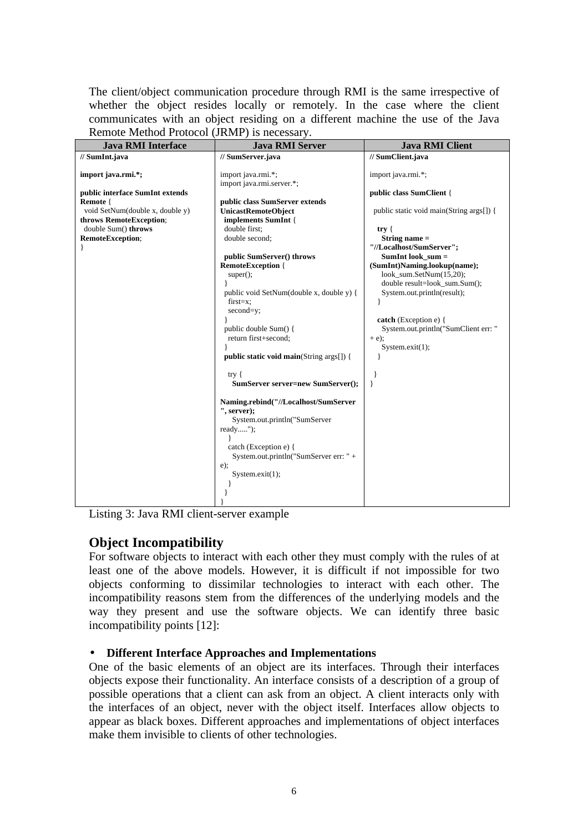The client/object communication procedure through RMI is the same irrespective of whether the object resides locally or remotely. In the case where the client communicates with an object residing on a different machine the use of the Java Remote Method Protocol (JRMP) is necessary.

| <b>Java RMI Interface</b>       | <b>Java RMI Server</b>                                                                                                       | <b>Java RMI Client</b>                   |
|---------------------------------|------------------------------------------------------------------------------------------------------------------------------|------------------------------------------|
| // SumInt.java                  | // SumServer.java                                                                                                            | // SumClient.java                        |
| import java.rmi.*;              | import java.rmi.*;<br>import java.rmi.server.*;                                                                              | import java.rmi.*;                       |
| public interface SumInt extends |                                                                                                                              | public class SumClient {                 |
| Remote {                        | public class SumServer extends                                                                                               |                                          |
| void SetNum(double x, double y) | <b>UnicastRemoteObject</b>                                                                                                   | public static void main(String args[]) { |
| throws RemoteException;         | implements SumInt {                                                                                                          |                                          |
| double Sum() throws             | double first;                                                                                                                | try $\{$                                 |
| RemoteException;                | double second;                                                                                                               | String name $=$                          |
|                                 |                                                                                                                              | "//Localhost/SumServer";                 |
|                                 | public SumServer() throws                                                                                                    | SumInt look_sum =                        |
|                                 | <b>RemoteException</b> {                                                                                                     | (SumInt)Naming.lookup(name);             |
|                                 | super();                                                                                                                     | $look\_sum.SetNum(15,20);$               |
|                                 |                                                                                                                              | double result=look_sum.Sum();            |
|                                 | public void SetNum(double x, double y) {<br>$first=x$ ;                                                                      | System.out.println(result);              |
|                                 | second=y;                                                                                                                    |                                          |
|                                 |                                                                                                                              | catch (Exception e) {                    |
|                                 | public double Sum() {                                                                                                        | System.out.println("SumClient err: "     |
|                                 | return first+second;                                                                                                         | $+ e$ :                                  |
|                                 |                                                                                                                              | System.exit(1);                          |
|                                 | <b>public static void main</b> (String args[]) {                                                                             |                                          |
|                                 |                                                                                                                              |                                          |
|                                 | $try \{$                                                                                                                     |                                          |
|                                 | SumServer server=new SumServer();                                                                                            | }                                        |
|                                 | Naming.rebind("//Localhost/SumServer<br>", server);<br>System.out.println("SumServer<br>$ready$ ");<br>catch (Exception e) { |                                          |
|                                 | System.out.println("SumServer err: " +<br>$e)$ :                                                                             |                                          |
|                                 | System.exit(1);                                                                                                              |                                          |
|                                 |                                                                                                                              |                                          |
|                                 |                                                                                                                              |                                          |
|                                 |                                                                                                                              |                                          |

Listing 3: Java RMI client-server example

# **Object Incompatibility**

For software objects to interact with each other they must comply with the rules of at least one of the above models. However, it is difficult if not impossible for two objects conforming to dissimilar technologies to interact with each other. The incompatibility reasons stem from the differences of the underlying models and the way they present and use the software objects. We can identify three basic incompatibility points [12]:

# • **Different Interface Approaches and Implementations**

One of the basic elements of an object are its interfaces. Through their interfaces objects expose their functionality. An interface consists of a description of a group of possible operations that a client can ask from an object. A client interacts only with the interfaces of an object, never with the object itself. Interfaces allow objects to appear as black boxes. Different approaches and implementations of object interfaces make them invisible to clients of other technologies.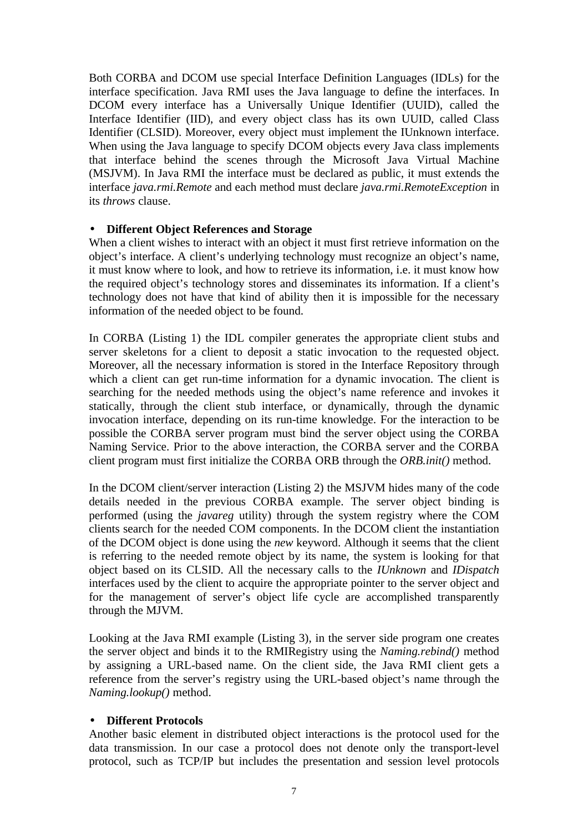Both CORBA and DCOM use special Interface Definition Languages (IDLs) for the interface specification. Java RMI uses the Java language to define the interfaces. In DCOM every interface has a Universally Unique Identifier (UUID), called the Interface Identifier (IID), and every object class has its own UUID, called Class Identifier (CLSID). Moreover, every object must implement the IUnknown interface. When using the Java language to specify DCOM objects every Java class implements that interface behind the scenes through the Microsoft Java Virtual Machine (MSJVM). In Java RMI the interface must be declared as public, it must extends the interface *java.rmi.Remote* and each method must declare *java.rmi.RemoteException* in its *throws* clause.

#### • **Different Object References and Storage**

When a client wishes to interact with an object it must first retrieve information on the object's interface. A client's underlying technology must recognize an object's name, it must know where to look, and how to retrieve its information, i.e. it must know how the required object's technology stores and disseminates its information. If a client's technology does not have that kind of ability then it is impossible for the necessary information of the needed object to be found.

In CORBA (Listing 1) the IDL compiler generates the appropriate client stubs and server skeletons for a client to deposit a static invocation to the requested object. Moreover, all the necessary information is stored in the Interface Repository through which a client can get run-time information for a dynamic invocation. The client is searching for the needed methods using the object's name reference and invokes it statically, through the client stub interface, or dynamically, through the dynamic invocation interface, depending on its run-time knowledge. For the interaction to be possible the CORBA server program must bind the server object using the CORBA Naming Service. Prior to the above interaction, the CORBA server and the CORBA client program must first initialize the CORBA ORB through the *ORB.init()* method.

In the DCOM client/server interaction (Listing 2) the MSJVM hides many of the code details needed in the previous CORBA example. The server object binding is performed (using the *javareg* utility) through the system registry where the COM clients search for the needed COM components. In the DCOM client the instantiation of the DCOM object is done using the *new* keyword. Although it seems that the client is referring to the needed remote object by its name, the system is looking for that object based on its CLSID. All the necessary calls to the *IUnknown* and *IDispatch* interfaces used by the client to acquire the appropriate pointer to the server object and for the management of server's object life cycle are accomplished transparently through the MJVM.

Looking at the Java RMI example (Listing 3), in the server side program one creates the server object and binds it to the RMIRegistry using the *Naming.rebind()* method by assigning a URL-based name. On the client side, the Java RMI client gets a reference from the server's registry using the URL-based object's name through the *Naming.lookup()* method.

#### • **Different Protocols**

Another basic element in distributed object interactions is the protocol used for the data transmission. In our case a protocol does not denote only the transport-level protocol, such as TCP/IP but includes the presentation and session level protocols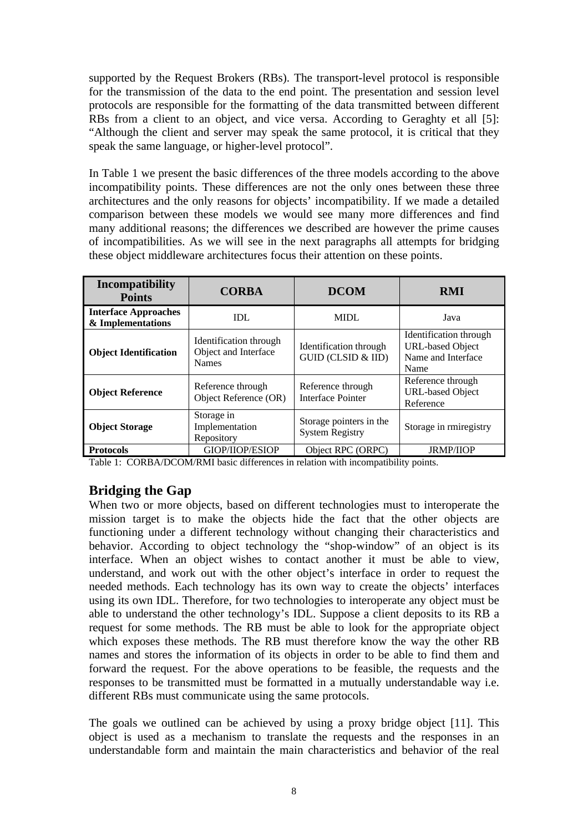supported by the Request Brokers (RBs). The transport-level protocol is responsible for the transmission of the data to the end point. The presentation and session level protocols are responsible for the formatting of the data transmitted between different RBs from a client to an object, and vice versa. According to Geraghty et all [5]: "Although the client and server may speak the same protocol, it is critical that they speak the same language, or higher-level protocol".

In Table 1 we present the basic differences of the three models according to the above incompatibility points. These differences are not the only ones between these three architectures and the only reasons for objects' incompatibility. If we made a detailed comparison between these models we would see many more differences and find many additional reasons; the differences we described are however the prime causes of incompatibilities. As we will see in the next paragraphs all attempts for bridging these object middleware architectures focus their attention on these points.

| Incompatibility<br><b>Points</b>                 | <b>CORBA</b>                                                   | <b>DCOM</b>                                       | <b>RMI</b>                                                                      |
|--------------------------------------------------|----------------------------------------------------------------|---------------------------------------------------|---------------------------------------------------------------------------------|
| <b>Interface Approaches</b><br>& Implementations | IDL                                                            | <b>MIDL</b>                                       | Java                                                                            |
| <b>Object Identification</b>                     | Identification through<br>Object and Interface<br><b>Names</b> | Identification through<br>GUID (CLSID & IID)      | Identification through<br><b>URL-based Object</b><br>Name and Interface<br>Name |
| <b>Object Reference</b>                          | Reference through<br>Object Reference (OR)                     | Reference through<br><b>Interface Pointer</b>     | Reference through<br><b>URL-based Object</b><br>Reference                       |
| <b>Object Storage</b>                            | Storage in<br>Implementation<br>Repository                     | Storage pointers in the<br><b>System Registry</b> | Storage in rmiregistry                                                          |
| <b>Protocols</b>                                 | GIOP/IIOP/ESIOP                                                | Object RPC (ORPC)                                 | <b>JRMP/IIOP</b>                                                                |

Table 1: CORBA/DCOM/RMI basic differences in relation with incompatibility points.

# **Bridging the Gap**

When two or more objects, based on different technologies must to interoperate the mission target is to make the objects hide the fact that the other objects are functioning under a different technology without changing their characteristics and behavior. According to object technology the "shop-window" of an object is its interface. When an object wishes to contact another it must be able to view, understand, and work out with the other object's interface in order to request the needed methods. Each technology has its own way to create the objects' interfaces using its own IDL. Therefore, for two technologies to interoperate any object must be able to understand the other technology's IDL. Suppose a client deposits to its RB a request for some methods. The RB must be able to look for the appropriate object which exposes these methods. The RB must therefore know the way the other RB names and stores the information of its objects in order to be able to find them and forward the request. For the above operations to be feasible, the requests and the responses to be transmitted must be formatted in a mutually understandable way i.e. different RBs must communicate using the same protocols.

The goals we outlined can be achieved by using a proxy bridge object [11]. This object is used as a mechanism to translate the requests and the responses in an understandable form and maintain the main characteristics and behavior of the real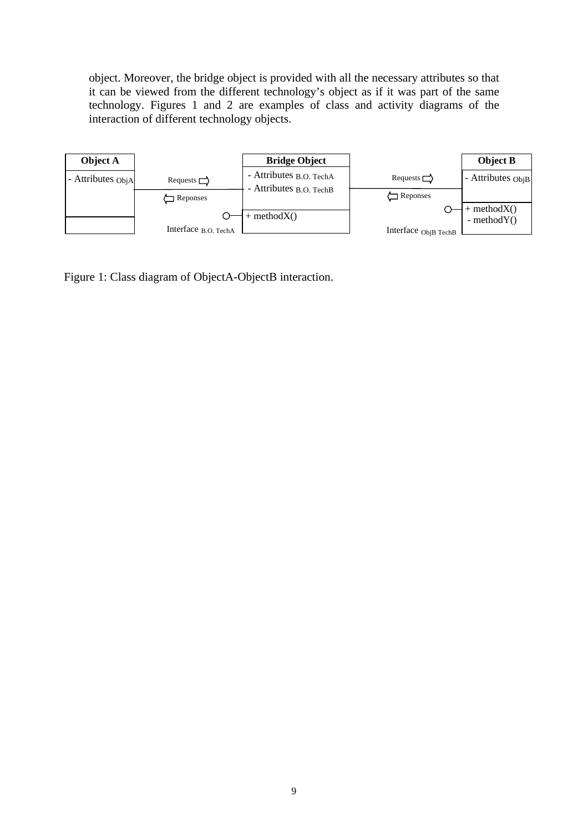object. Moreover, the bridge object is provided with all the necessary attributes so that it can be viewed from the different technology's object as if it was part of the same technology. Figures 1 and 2 are examples of class and activity diagrams of the interaction of different technology objects.



Figure 1: Class diagram of ObjectA-ObjectB interaction.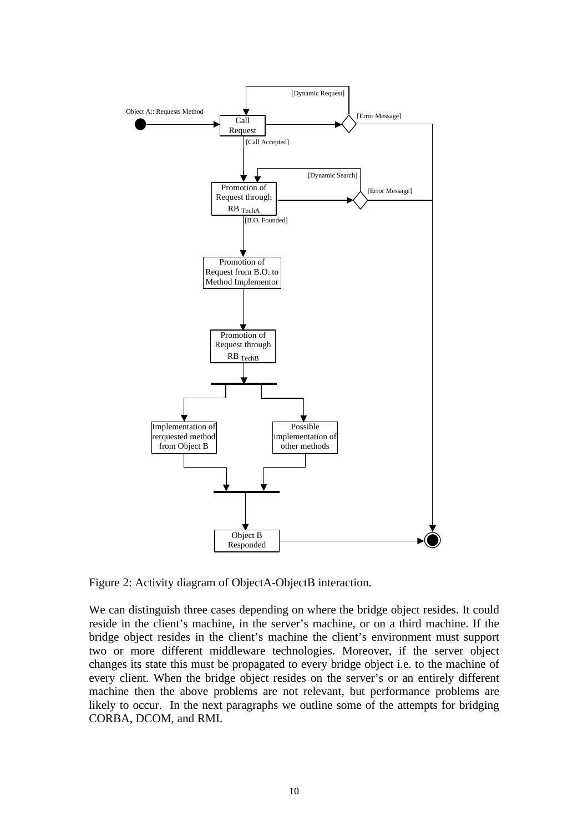

Figure 2: Activity diagram of ObjectA-ObjectB interaction.

We can distinguish three cases depending on where the bridge object resides. It could reside in the client's machine, in the server's machine, or on a third machine. If the bridge object resides in the client's machine the client's environment must support two or more different middleware technologies. Moreover, if the server object changes its state this must be propagated to every bridge object i.e. to the machine of every client. When the bridge object resides on the server's or an entirely different machine then the above problems are not relevant, but performance problems are likely to occur. In the next paragraphs we outline some of the attempts for bridging CORBA, DCOM, and RMI.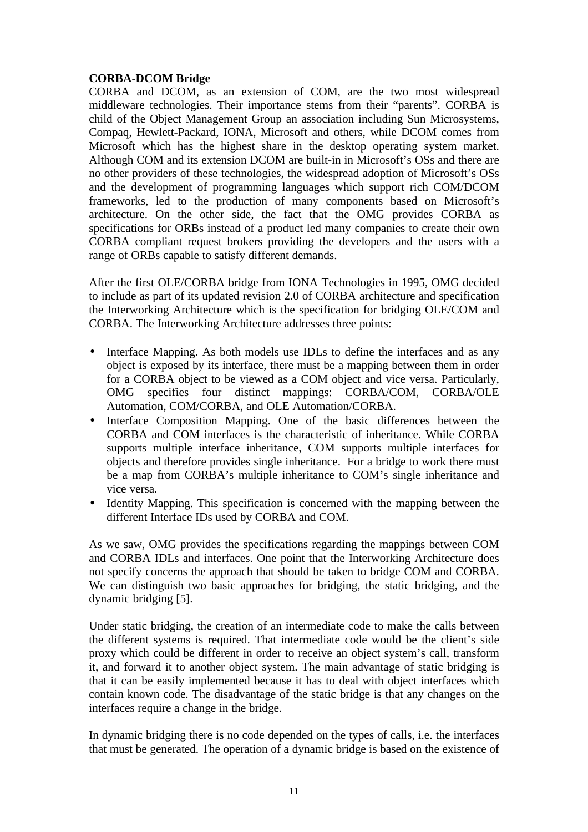## **CORBA-DCOM Bridge**

CORBA and DCOM, as an extension of COM, are the two most widespread middleware technologies. Their importance stems from their "parents". CORBA is child of the Object Management Group an association including Sun Microsystems, Compaq, Hewlett-Packard, IONA, Microsoft and others, while DCOM comes from Microsoft which has the highest share in the desktop operating system market. Although COM and its extension DCOM are built-in in Microsoft's OSs and there are no other providers of these technologies, the widespread adoption of Microsoft's OSs and the development of programming languages which support rich COM/DCOM frameworks, led to the production of many components based on Microsoft's architecture. On the other side, the fact that the OMG provides CORBA as specifications for ORBs instead of a product led many companies to create their own CORBA compliant request brokers providing the developers and the users with a range of ORBs capable to satisfy different demands.

After the first OLE/CORBA bridge from IONA Technologies in 1995, OMG decided to include as part of its updated revision 2.0 of CORBA architecture and specification the Interworking Architecture which is the specification for bridging OLE/COM and CORBA. The Interworking Architecture addresses three points:

- Interface Mapping. As both models use IDLs to define the interfaces and as any object is exposed by its interface, there must be a mapping between them in order for a CORBA object to be viewed as a COM object and vice versa. Particularly, OMG specifies four distinct mappings: CORBA/COM, CORBA/OLE Automation, COM/CORBA, and OLE Automation/CORBA.
- Interface Composition Mapping. One of the basic differences between the CORBA and COM interfaces is the characteristic of inheritance. While CORBA supports multiple interface inheritance, COM supports multiple interfaces for objects and therefore provides single inheritance. For a bridge to work there must be a map from CORBA's multiple inheritance to COM's single inheritance and vice versa.
- Identity Mapping. This specification is concerned with the mapping between the different Interface IDs used by CORBA and COM.

As we saw, OMG provides the specifications regarding the mappings between COM and CORBA IDLs and interfaces. One point that the Interworking Architecture does not specify concerns the approach that should be taken to bridge COM and CORBA. We can distinguish two basic approaches for bridging, the static bridging, and the dynamic bridging [5].

Under static bridging, the creation of an intermediate code to make the calls between the different systems is required. That intermediate code would be the client's side proxy which could be different in order to receive an object system's call, transform it, and forward it to another object system. The main advantage of static bridging is that it can be easily implemented because it has to deal with object interfaces which contain known code. The disadvantage of the static bridge is that any changes on the interfaces require a change in the bridge.

In dynamic bridging there is no code depended on the types of calls, i.e. the interfaces that must be generated. The operation of a dynamic bridge is based on the existence of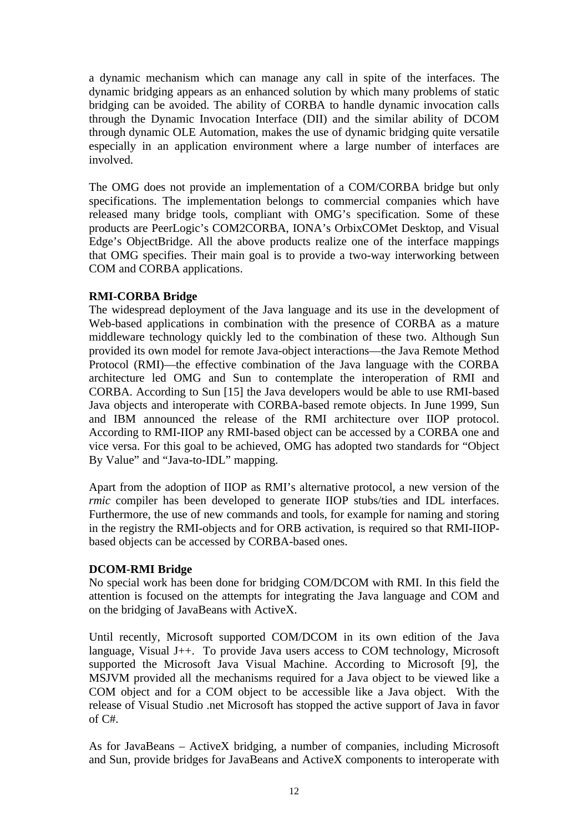a dynamic mechanism which can manage any call in spite of the interfaces. The dynamic bridging appears as an enhanced solution by which many problems of static bridging can be avoided. The ability of CORBA to handle dynamic invocation calls through the Dynamic Invocation Interface (DII) and the similar ability of DCOM through dynamic OLE Automation, makes the use of dynamic bridging quite versatile especially in an application environment where a large number of interfaces are involved.

The OMG does not provide an implementation of a COM/CORBA bridge but only specifications. The implementation belongs to commercial companies which have released many bridge tools, compliant with OMG's specification. Some of these products are PeerLogic's COM2CORBA, IONA's OrbixCOMet Desktop, and Visual Edge's ObjectBridge. All the above products realize one of the interface mappings that OMG specifies. Their main goal is to provide a two-way interworking between COM and CORBA applications.

# **RMI-CORBA Bridge**

The widespread deployment of the Java language and its use in the development of Web-based applications in combination with the presence of CORBA as a mature middleware technology quickly led to the combination of these two. Although Sun provided its own model for remote Java-object interactions—the Java Remote Method Protocol (RMI)—the effective combination of the Java language with the CORBA architecture led OMG and Sun to contemplate the interoperation of RMI and CORBA. According to Sun [15] the Java developers would be able to use RMI-based Java objects and interoperate with CORBA-based remote objects. In June 1999, Sun and IBM announced the release of the RMI architecture over IIOP protocol. According to RMI-IIOP any RMI-based object can be accessed by a CORBA one and vice versa. For this goal to be achieved, OMG has adopted two standards for "Object By Value" and "Java-to-IDL" mapping.

Apart from the adoption of IIOP as RMI's alternative protocol, a new version of the *rmic* compiler has been developed to generate IIOP stubs/ties and IDL interfaces. Furthermore, the use of new commands and tools, for example for naming and storing in the registry the RMI-objects and for ORB activation, is required so that RMI-IIOPbased objects can be accessed by CORBA-based ones.

# **DCOM-RMI Bridge**

No special work has been done for bridging COM/DCOM with RMI. In this field the attention is focused on the attempts for integrating the Java language and COM and on the bridging of JavaBeans with ActiveX.

Until recently, Microsoft supported COM/DCOM in its own edition of the Java language, Visual J++. To provide Java users access to COM technology, Microsoft supported the Microsoft Java Visual Machine. According to Microsoft [9], the MSJVM provided all the mechanisms required for a Java object to be viewed like a COM object and for a COM object to be accessible like a Java object. With the release of Visual Studio .net Microsoft has stopped the active support of Java in favor of C#.

As for JavaBeans – ActiveX bridging, a number of companies, including Microsoft and Sun, provide bridges for JavaBeans and ActiveX components to interoperate with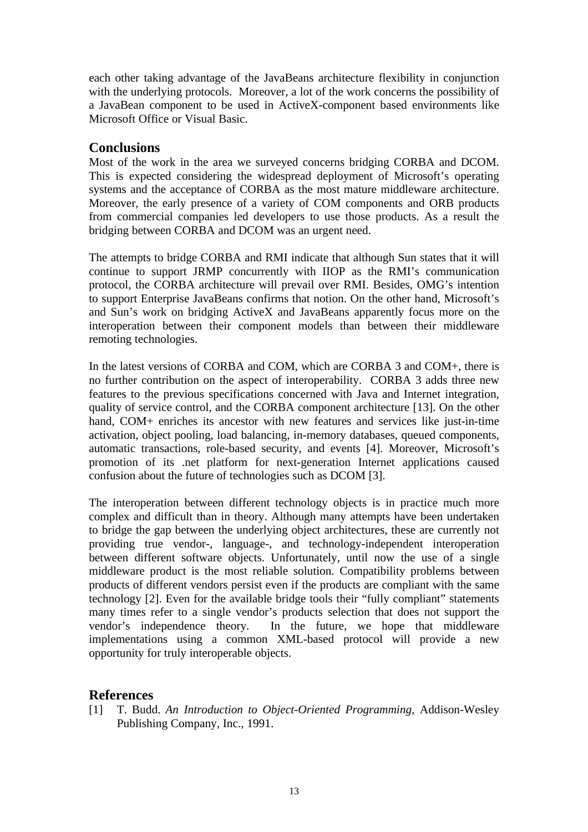each other taking advantage of the JavaBeans architecture flexibility in conjunction with the underlying protocols. Moreover, a lot of the work concerns the possibility of a JavaBean component to be used in ActiveX-component based environments like Microsoft Office or Visual Basic.

# **Conclusions**

Most of the work in the area we surveyed concerns bridging CORBA and DCOM. This is expected considering the widespread deployment of Microsoft's operating systems and the acceptance of CORBA as the most mature middleware architecture. Moreover, the early presence of a variety of COM components and ORB products from commercial companies led developers to use those products. As a result the bridging between CORBA and DCOM was an urgent need.

The attempts to bridge CORBA and RMI indicate that although Sun states that it will continue to support JRMP concurrently with IIOP as the RMI's communication protocol, the CORBA architecture will prevail over RMI. Besides, OMG's intention to support Enterprise JavaBeans confirms that notion. On the other hand, Microsoft's and Sun's work on bridging ActiveX and JavaBeans apparently focus more on the interoperation between their component models than between their middleware remoting technologies.

In the latest versions of CORBA and COM, which are CORBA 3 and COM+, there is no further contribution on the aspect of interoperability. CORBA 3 adds three new features to the previous specifications concerned with Java and Internet integration, quality of service control, and the CORBA component architecture [13]. On the other hand, COM+ enriches its ancestor with new features and services like just-in-time activation, object pooling, load balancing, in-memory databases, queued components, automatic transactions, role-based security, and events [4]. Moreover, Microsoft's promotion of its .net platform for next-generation Internet applications caused confusion about the future of technologies such as DCOM [3].

The interoperation between different technology objects is in practice much more complex and difficult than in theory. Although many attempts have been undertaken to bridge the gap between the underlying object architectures, these are currently not providing true vendor-, language-, and technology-independent interoperation between different software objects. Unfortunately, until now the use of a single middleware product is the most reliable solution. Compatibility problems between products of different vendors persist even if the products are compliant with the same technology [2]. Even for the available bridge tools their "fully compliant" statements many times refer to a single vendor's products selection that does not support the vendor's independence theory. In the future, we hope that middleware implementations using a common XML-based protocol will provide a new opportunity for truly interoperable objects.

# **References**

[1] T. Budd. *An Introduction to Object-Oriented Programming*, Addison-Wesley Publishing Company, Inc., 1991.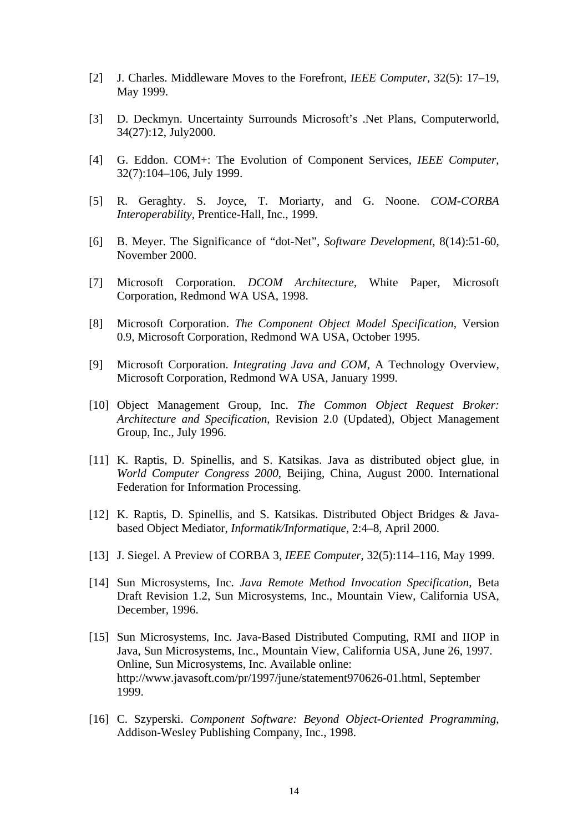- [2] J. Charles. Middleware Moves to the Forefront, *IEEE Computer*, 32(5): 17–19, May 1999.
- [3] D. Deckmyn. Uncertainty Surrounds Microsoft's .Net Plans, Computerworld, 34(27):12, July2000.
- [4] G. Eddon. COM+: The Evolution of Component Services, *IEEE Computer*, 32(7):104–106, July 1999.
- [5] R. Geraghty. S. Joyce, T. Moriarty, and G. Noone. *COM-CORBA Interoperability*, Prentice-Hall, Inc., 1999.
- [6] B. Meyer. The Significance of "dot-Net", *Software Development*, 8(14):51-60, November 2000.
- [7] Microsoft Corporation. *DCOM Architecture*, White Paper, Microsoft Corporation, Redmond WA USA, 1998.
- [8] Microsoft Corporation. *The Component Object Model Specification*, Version 0.9, Microsoft Corporation, Redmond WA USA, October 1995.
- [9] Microsoft Corporation. *Integrating Java and COM*, A Technology Overview, Microsoft Corporation, Redmond WA USA, January 1999.
- [10] Object Management Group, Inc. *The Common Object Request Broker: Architecture and Specification*, Revision 2.0 (Updated), Object Management Group, Inc., July 1996.
- [11] K. Raptis, D. Spinellis, and S. Katsikas. Java as distributed object glue, in *World Computer Congress 2000*, Beijing, China, August 2000. International Federation for Information Processing.
- [12] K. Raptis, D. Spinellis, and S. Katsikas. Distributed Object Bridges & Javabased Object Mediator, *Informatik/Informatique*, 2:4–8, April 2000.
- [13] J. Siegel. A Preview of CORBA 3, *IEEE Computer*, 32(5):114–116, May 1999.
- [14] Sun Microsystems, Inc. *Java Remote Method Invocation Specification*, Beta Draft Revision 1.2, Sun Microsystems, Inc., Mountain View, California USA, December, 1996.
- [15] Sun Microsystems, Inc. Java-Based Distributed Computing, RMI and IIOP in Java, Sun Microsystems, Inc., Mountain View, California USA, June 26, 1997. Online, Sun Microsystems, Inc. Available online: http://www.javasoft.com/pr/1997/june/statement970626-01.html, September 1999.
- [16] C. Szyperski. *Component Software: Beyond Object-Oriented Programming*, Addison-Wesley Publishing Company, Inc., 1998.